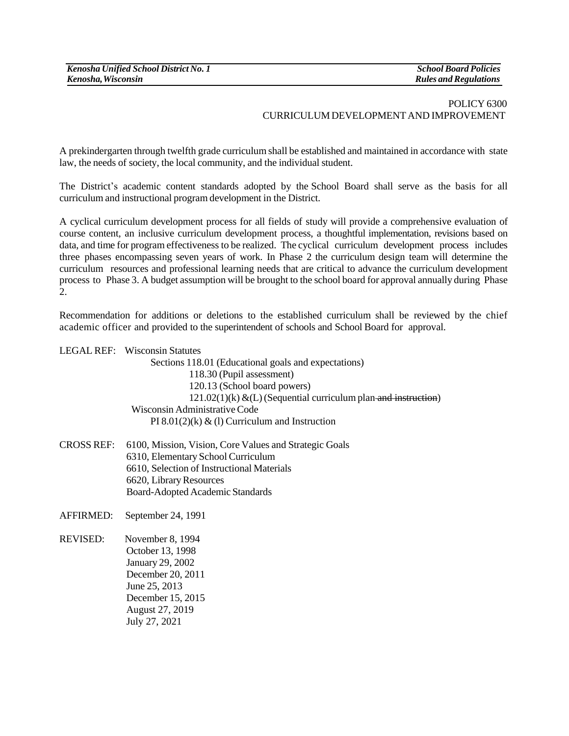## POLICY 6300 CURRICULUM DEVELOPMENT AND IMPROVEMENT

A prekindergarten through twelfth grade curriculum shall be established and maintained in accordance with state law, the needs of society, the local community, and the individual student.

The District's academic content standards adopted by the School Board shall serve as the basis for all curriculum and instructional program development in the District.

A cyclical curriculum development process for all fields of study will provide a comprehensive evaluation of course content, an inclusive curriculum development process, a thoughtful implementation, revisions based on data, and time for program effectiveness to be realized. The cyclical curriculum development process includes three phases encompassing seven years of work. In Phase 2 the curriculum design team will determine the curriculum resources and professional learning needs that are critical to advance the curriculum development process to Phase 3. A budget assumption will be brought to the school board for approval annually during Phase 2.

Recommendation for additions or deletions to the established curriculum shall be reviewed by the chief academic officer and provided to the superintendent of schools and School Board for approval.

LEGAL REF: Wisconsin Statutes

Sections 118.01 (Educational goals and expectations) 118.30 (Pupil assessment) 120.13 (School board powers)  $121.02(1)$ (k) &(L) (Sequential curriculum plan and instruction) Wisconsin Administrative Code PI 8.01(2)(k)  $\&$  (1) Curriculum and Instruction

CROSS REF: 6100, Mission, Vision, Core Values and Strategic Goals 6310, Elementary School Curriculum 6610, Selection of Instructional Materials 6620, Library Resources Board-Adopted Academic Standards

AFFIRMED: September 24, 1991

REVISED: November 8, 1994 October 13, 1998 January 29, 2002 December 20, 2011 June 25, 2013 December 15, 2015 August 27, 2019 July 27, 2021